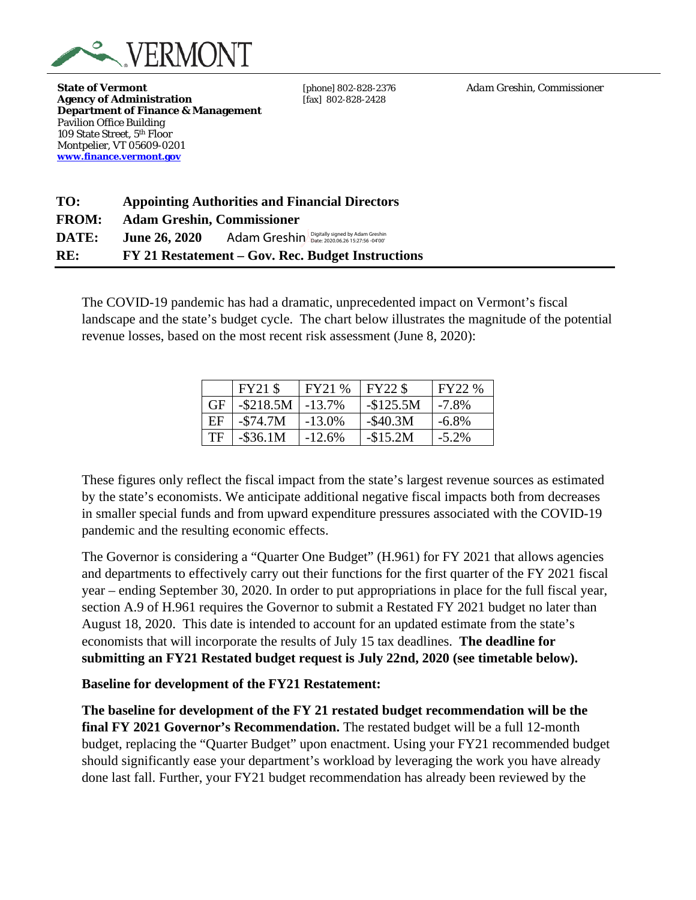

**State of Vermont** *CONDERGIFT <b>EXECUTE:* [phone] 802-828-2376 *Adam Greshin, Commissioner Adam Greshin, Commissioner* Agency of Administration [fax] 802-828-2428 **Department of Finance & Management** Pavilion Office Building 109 State Street, 5th Floor Montpelier, VT 05609-0201 **[www.finance.vermont.gov](http://www.finance.vermont.gov/)**

| TO:          | <b>Appointing Authorities and Financial Directors</b>                 |  |  |  |
|--------------|-----------------------------------------------------------------------|--|--|--|
| <b>FROM:</b> | <b>Adam Greshin, Commissioner</b>                                     |  |  |  |
| DATE:        | Adam Greshin Digitally signed by Adam Greshin<br><b>June 26, 2020</b> |  |  |  |
| RE:          | FY 21 Restatement – Gov. Rec. Budget Instructions                     |  |  |  |

The COVID-19 pandemic has had a dramatic, unprecedented impact on Vermont's fiscal landscape and the state's budget cycle. The chart below illustrates the magnitude of the potential revenue losses, based on the most recent risk assessment (June 8, 2020):

|    | FY21 \$     | FY21 %    | <b>FY22 \$</b> | FY22 %   |
|----|-------------|-----------|----------------|----------|
| GF | $-S218.5M$  | $-13.7\%$ | $-$125.5M$     | $-7.8\%$ |
| EF | $-S74.7M$   | $-13.0\%$ | $-$ \$40.3M    | $-6.8\%$ |
| TF | $-$ \$36.1M | $-12.6\%$ | $-$15.2M$      | $-5.2\%$ |

These figures only reflect the fiscal impact from the state's largest revenue sources as estimated by the state's economists. We anticipate additional negative fiscal impacts both from decreases in smaller special funds and from upward expenditure pressures associated with the COVID-19 pandemic and the resulting economic effects.

The Governor is considering a "Quarter One Budget" (H.961) for FY 2021 that allows agencies and departments to effectively carry out their functions for the first quarter of the FY 2021 fiscal year – ending September 30, 2020. In order to put appropriations in place for the full fiscal year, section A.9 of H.961 requires the Governor to submit a Restated FY 2021 budget no later than August 18, 2020. This date is intended to account for an updated estimate from the state's economists that will incorporate the results of July 15 tax deadlines. **The deadline for submitting an FY21 Restated budget request is July 22nd, 2020 (see timetable below).**

#### **Baseline for development of the FY21 Restatement:**

**The baseline for development of the FY 21 restated budget recommendation will be the final FY 2021 Governor's Recommendation.** The restated budget will be a full 12-month budget, replacing the "Quarter Budget" upon enactment. Using your FY21 recommended budget should significantly ease your department's workload by leveraging the work you have already done last fall. Further, your FY21 budget recommendation has already been reviewed by the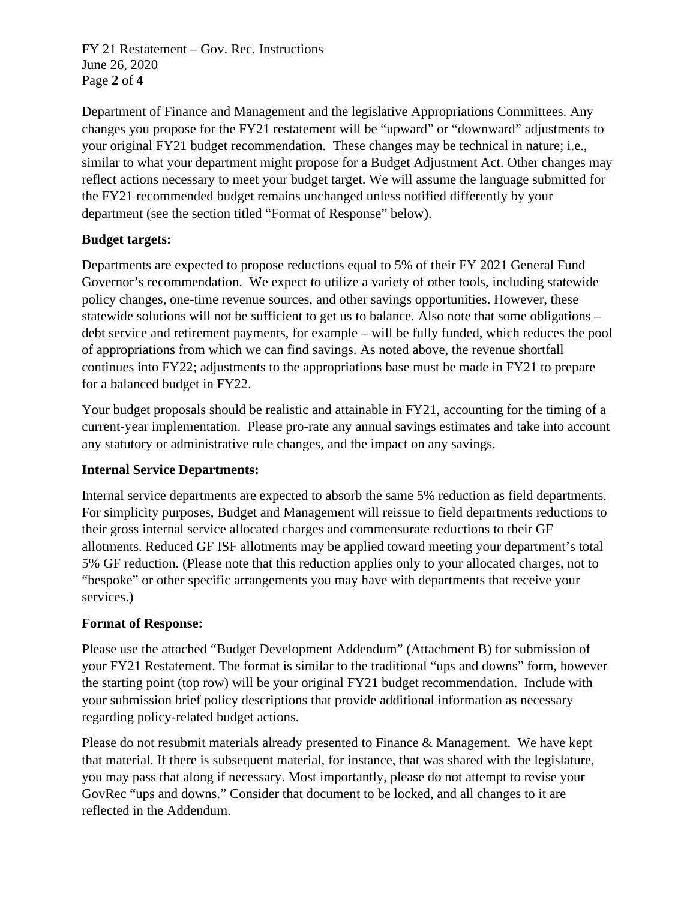FY 21 Restatement – Gov. Rec. Instructions June 26, 2020 Page **2** of **4**

Department of Finance and Management and the legislative Appropriations Committees. Any changes you propose for the FY21 restatement will be "upward" or "downward" adjustments to your original FY21 budget recommendation. These changes may be technical in nature; i.e., similar to what your department might propose for a Budget Adjustment Act. Other changes may reflect actions necessary to meet your budget target. We will assume the language submitted for the FY21 recommended budget remains unchanged unless notified differently by your department (see the section titled "Format of Response" below).

### **Budget targets:**

Departments are expected to propose reductions equal to 5% of their FY 2021 General Fund Governor's recommendation. We expect to utilize a variety of other tools, including statewide policy changes, one-time revenue sources, and other savings opportunities. However, these statewide solutions will not be sufficient to get us to balance. Also note that some obligations – debt service and retirement payments, for example – will be fully funded, which reduces the pool of appropriations from which we can find savings. As noted above, the revenue shortfall continues into FY22; adjustments to the appropriations base must be made in FY21 to prepare for a balanced budget in FY22.

Your budget proposals should be realistic and attainable in FY21, accounting for the timing of a current-year implementation. Please pro-rate any annual savings estimates and take into account any statutory or administrative rule changes, and the impact on any savings.

### **Internal Service Departments:**

Internal service departments are expected to absorb the same 5% reduction as field departments. For simplicity purposes, Budget and Management will reissue to field departments reductions to their gross internal service allocated charges and commensurate reductions to their GF allotments. Reduced GF ISF allotments may be applied toward meeting your department's total 5% GF reduction. (Please note that this reduction applies only to your allocated charges, not to "bespoke" or other specific arrangements you may have with departments that receive your services.)

### **Format of Response:**

Please use the attached "Budget Development Addendum" (Attachment B) for submission of your FY21 Restatement. The format is similar to the traditional "ups and downs" form, however the starting point (top row) will be your original FY21 budget recommendation. Include with your submission brief policy descriptions that provide additional information as necessary regarding policy-related budget actions.

Please do not resubmit materials already presented to Finance & Management. We have kept that material. If there is subsequent material, for instance, that was shared with the legislature, you may pass that along if necessary. Most importantly, please do not attempt to revise your GovRec "ups and downs." Consider that document to be locked, and all changes to it are reflected in the Addendum.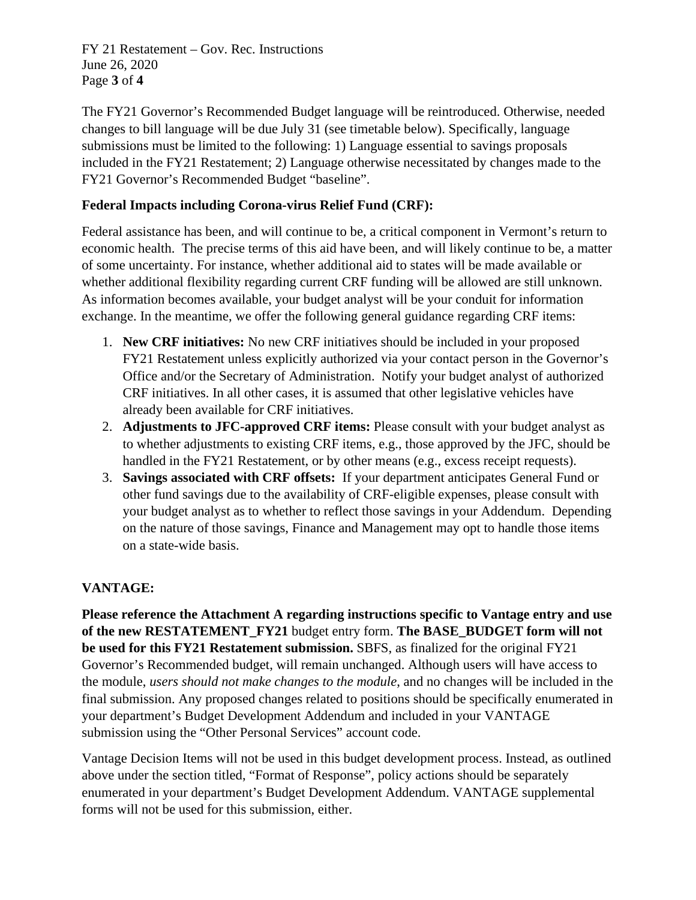FY 21 Restatement – Gov. Rec. Instructions June 26, 2020 Page **3** of **4**

The FY21 Governor's Recommended Budget language will be reintroduced. Otherwise, needed changes to bill language will be due July 31 (see timetable below). Specifically, language submissions must be limited to the following: 1) Language essential to savings proposals included in the FY21 Restatement; 2) Language otherwise necessitated by changes made to the FY21 Governor's Recommended Budget "baseline".

## **Federal Impacts including Corona-virus Relief Fund (CRF):**

Federal assistance has been, and will continue to be, a critical component in Vermont's return to economic health. The precise terms of this aid have been, and will likely continue to be, a matter of some uncertainty. For instance, whether additional aid to states will be made available or whether additional flexibility regarding current CRF funding will be allowed are still unknown. As information becomes available, your budget analyst will be your conduit for information exchange. In the meantime, we offer the following general guidance regarding CRF items:

- 1. **New CRF initiatives:** No new CRF initiatives should be included in your proposed FY21 Restatement unless explicitly authorized via your contact person in the Governor's Office and/or the Secretary of Administration. Notify your budget analyst of authorized CRF initiatives. In all other cases, it is assumed that other legislative vehicles have already been available for CRF initiatives.
- 2. **Adjustments to JFC-approved CRF items:** Please consult with your budget analyst as to whether adjustments to existing CRF items, e.g., those approved by the JFC, should be handled in the FY21 Restatement, or by other means (e.g., excess receipt requests).
- 3. **Savings associated with CRF offsets:** If your department anticipates General Fund or other fund savings due to the availability of CRF-eligible expenses, please consult with your budget analyst as to whether to reflect those savings in your Addendum. Depending on the nature of those savings, Finance and Management may opt to handle those items on a state-wide basis.

# **VANTAGE:**

**Please reference the Attachment A regarding instructions specific to Vantage entry and use of the new RESTATEMENT\_FY21** budget entry form. **The BASE\_BUDGET form will not be used for this FY21 Restatement submission.** SBFS, as finalized for the original FY21 Governor's Recommended budget, will remain unchanged. Although users will have access to the module, *users should not make changes to the module*, and no changes will be included in the final submission. Any proposed changes related to positions should be specifically enumerated in your department's Budget Development Addendum and included in your VANTAGE submission using the "Other Personal Services" account code.

Vantage Decision Items will not be used in this budget development process. Instead, as outlined above under the section titled, "Format of Response", policy actions should be separately enumerated in your department's Budget Development Addendum. VANTAGE supplemental forms will not be used for this submission, either.